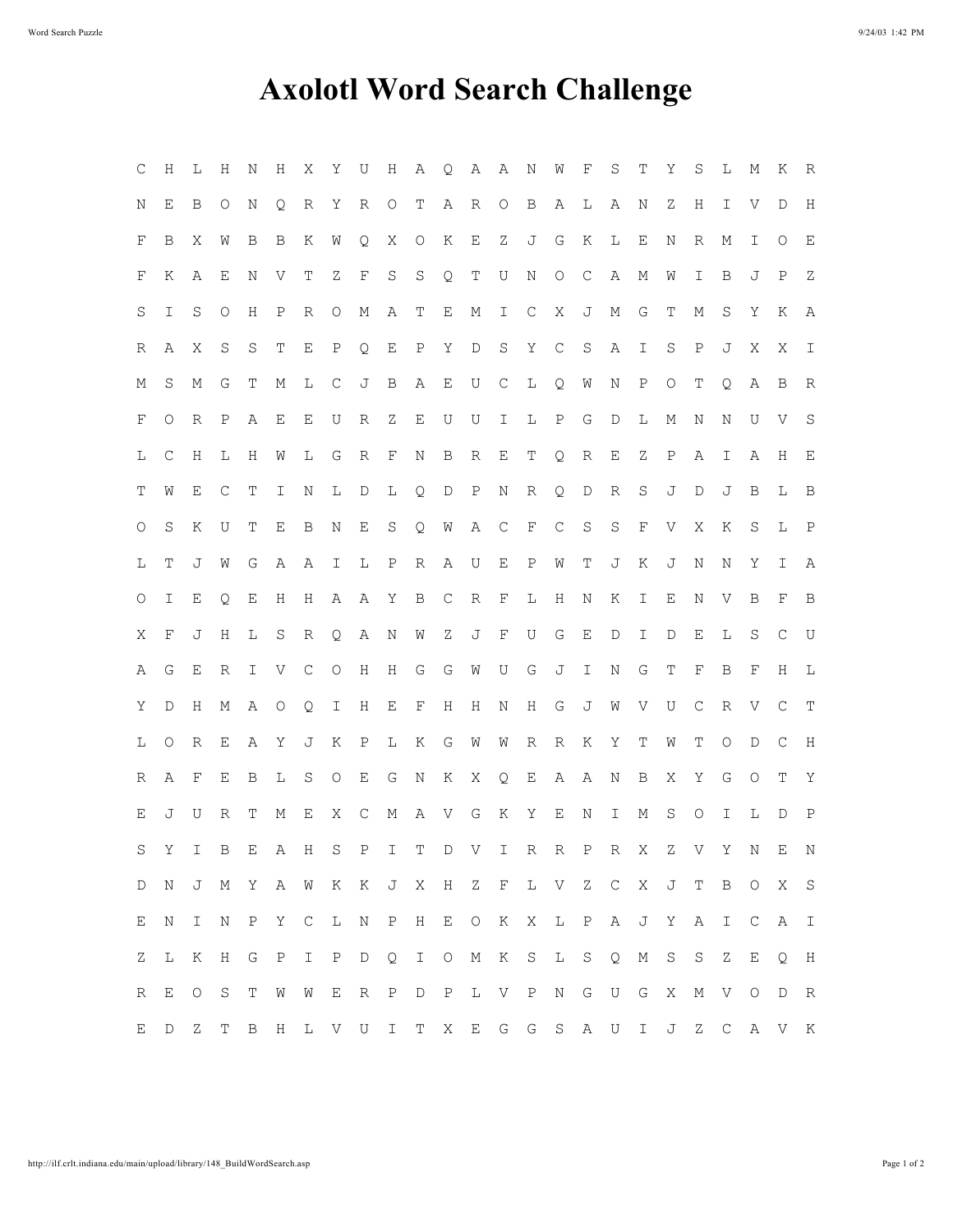## **Axolotl Word Search Challenge**

| C       | Η                   | L                   | Η            | Ν            | H            | X             | Υ                   | U            | H                   | Α             | Q           | A            | $\mathbb{A}$ | $\mathbb N$  | W                   | F             | S                      | Т             | Υ                     | S                   | L      | Μ            | K                                             | R             |
|---------|---------------------|---------------------|--------------|--------------|--------------|---------------|---------------------|--------------|---------------------|---------------|-------------|--------------|--------------|--------------|---------------------|---------------|------------------------|---------------|-----------------------|---------------------|--------|--------------|-----------------------------------------------|---------------|
| Ν       | Ε                   | B                   | O            | Ν            | Q            | R             | Υ                   | R            | $\circlearrowright$ | Т             | Α           | R            | $\circ$      | B            | Α                   | L             | Α                      | Ν             | Ζ                     | Η                   | I      | V            | D                                             | $\rm H$       |
| F       | В                   | Χ                   | W            | Β            | B            | Κ             | W                   | Q            | Χ                   | $\circ$       | Κ           | Ε            | Ζ            | J            | G                   | Κ             | L                      | Ε             | N                     | R                   | Μ      | Ι            | O                                             | $\mathbf E$   |
| F       | Κ                   | Α                   | Ε            | Ν            | V            | Т             | Ζ                   | $\mathbf F$  | $\rm S$             | $\rm S$       | Q           | T            | U            | Ν            | $\circlearrowright$ | $\mathsf C$   | Α                      | М             | W                     | I                   | B      | J            | $\, {\bf P}$                                  | Ζ             |
| S       | I                   | S                   | $\circ$      | Η            | $\, {\bf P}$ | R             | $\circ$             | М            | Α                   | T             | Ε           | М            | I            | C            | Χ                   | J             | М                      | G             | Т                     | М                   | S      | Υ            | Κ                                             | А             |
| R       | Α                   | Χ                   | S            | S            | Τ            | Ε             | $\, {\bf P}$        | Q            | Ε                   | $\mathbf P$   | Υ           | D            | $\mathbf S$  | $\mathbf Y$  | $\mathsf C$         | $\rm S$       | Α                      | $\mathbbm{I}$ | S                     | $\, {\bf P}$        | J      | Χ            | X                                             | $\mathbbm{I}$ |
| Μ       | S                   | Μ                   | G            | Т            | М            | L             | C                   | J            | $\, {\bf B}$        | Α             | Ε           | U            | C            | L            | Q                   | W             | N                      | $\, {\bf P}$  | $\circ$               | Т                   | Q      | $\, {\bf A}$ | $\, {\bf B}$                                  | $\mathbb R$   |
| F       | O                   | R                   | $\, {\rm P}$ | Α            | Ε            | Ε             | U                   | R            | $\rm{Z}$            | Ε             | U           | U            | I            | L            | $\, {\bf P}$        | G             | D                      | L             | М                     | N                   | N      | U            | V                                             | $\mathbf S$   |
| L       | С                   | Η                   | L            | Η            | W            | L             | G                   | R            | $\mathbf F$         | Ν             | B           | R            | Ε            | T            | Q                   | $\mathbb R$   | $\mathop{}\mathcal{E}$ | Ζ             | $\mathbf P$           | Α                   | I      | Α            | Η                                             | Ε             |
| Т       | W                   | Ε                   | С            | Т            | I            | Ν             | L                   | D            | L                   | Q             | D           | $\, {\rm P}$ | Ν            | R            | Q                   | D             | R                      | S             | J                     | D                   | J      | B            | L                                             | $\mathbf B$   |
| O       | S                   | Κ                   | U            | Т            | Ε            | B             | N                   | Ε            | S                   | Q             | W           | Α            | C            | F            | C                   | S             | S                      | $\mathbf F$   | $\boldsymbol{\nabla}$ | Χ                   | K      | S            | L                                             | $\mathbb{P}$  |
| L       | Т                   | J                   | W            | G            | Α            | Α             | Ι                   | L            | $\, {\bf P}$        | R             | Α           | U            | Ε            | $\, {\bf P}$ | W                   | Т             | J                      | Κ             | J                     | N                   | Ν      | Υ            | I                                             | Α             |
| $\circ$ | I                   | Е                   | Q.           | Ε            | H            | Η             | Α                   | Α            | Υ                   | В             | C           | R            | F            | L            | Η                   | Ν             | Κ                      | I             | Ε                     | Ν                   | V      | B            | F                                             | B             |
| Χ       | F                   | J                   | H            | L            | S            | R             | Q.                  | Α            | Ν                   | W             | Ζ           | J            | $\mathbf F$  | U            | G                   | Ε             | D                      | I             | $\mathbb D$           | Е                   | L      | S            | С                                             | U             |
| A       | G                   | Ε                   | R            | I            | V            | С             | $\circlearrowright$ | Η            | Η                   | G             | G           | W            | U            | G            | J                   | $\mathbbm{I}$ | N                      | G             | Т                     | F                   | B      | F            | Η                                             | L             |
| Υ       | $\mathbb D$         | Η                   | М            | Α            | 0            | Q             | Ι                   | Η            | Ε                   | F             | H           | Η            | N            | Н            | G                   | J             | W                      | V             | U                     | С                   | $\,$ R | V            | $\mathsf{C}$                                  | T             |
| L       | $\circlearrowright$ | R                   | Ε            | Α            | Υ            | J             | Κ                   | $\, {\rm P}$ | L                   | Κ             | G           | W            | W            | R            | R                   | Κ             | Υ                      | Т             | W                     | Т                   | O      | D            | C                                             | H             |
| R       | Α                   | F                   | Е            | Β            | L            | S             | $\circlearrowright$ | $\mathbf E$  | G                   | N             | Κ           | Χ            | Q            | Е            | Α                   | Α             | Ν                      | B             | Χ                     | Υ                   | G      | O            | Т                                             | Υ             |
| Е       | J                   | U                   | R            | Τ            | М            | Ε             | Χ                   | $\mathsf{C}$ | М                   | Α             | V           | G            | Κ            | Υ            | Ε                   | N             | Ι                      | М             | S                     | $\circlearrowright$ | I      | L            | D                                             | $\, {\bf P}$  |
| S       | Υ                   | I.                  | $\mathbf B$  | Ε            |              | A H           | S                   | $\mathbf{P}$ | I.                  | Т             |             | D V          | $\mathbb{I}$ | $\mathbb R$  | R                   | $\, {\bf P}$  | R                      | Χ             | Ζ                     |                     | V Y    | Ν            | Е                                             | N             |
| D       | Ν                   |                     |              |              |              |               |                     |              |                     |               |             |              |              |              |                     |               |                        |               |                       |                     |        |              | J M Y A W K K J X H Z F L V Z C X J T B O X S |               |
| Е       | Ν                   | $\mathbbm{1}$       | $\rm N$      | $\, {\bf P}$ | Υ            | $\mathsf{C}$  | L                   | $\rm N$      | $\mathbb{P}$        | H             | $\mathbf E$ |              | $O$ K X      |              |                     | $L$ $P$       |                        |               | A J Y                 |                     | A I    |              | $C$ A                                         | $\mathbb{I}$  |
| Z       | L                   | К                   | $\rm H$      | G            | $\, {\bf P}$ | $\mathbbm{I}$ | $\, {\bf P}$        | $\mathbb D$  | Q                   | $\mathbbm{I}$ | $\circ$     | М            | K S          |              | L                   | $\mathbf S$   | Q                      | $\mathbb M$   | S                     | $\mathbf S$         | Z      | Ε            | Q                                             | H             |
| R       | Ε                   | $\circlearrowright$ | $\mathbf S$  | Т            | ${\rm W}$    | W             | $\mathbf E$         | R            | $\, {\bf P}$        | $\mathbb D$   | P           | L            | $V$ P        |              |                     | N G           | U G                    |               | $\mathbf X$           | $M_{\odot}$         | V O    |              | D                                             | R             |
| E       | $\mathbb D$         | Ζ                   | T            | $\mathbf B$  | H            | L             |                     | V U          | $\mathbbm{1}$       | T             | X           | $\mathbf E$  |              | G G S A      |                     |               | U                      | $\mathbbm{1}$ | J                     |                     |        |              | Z C A V K                                     |               |